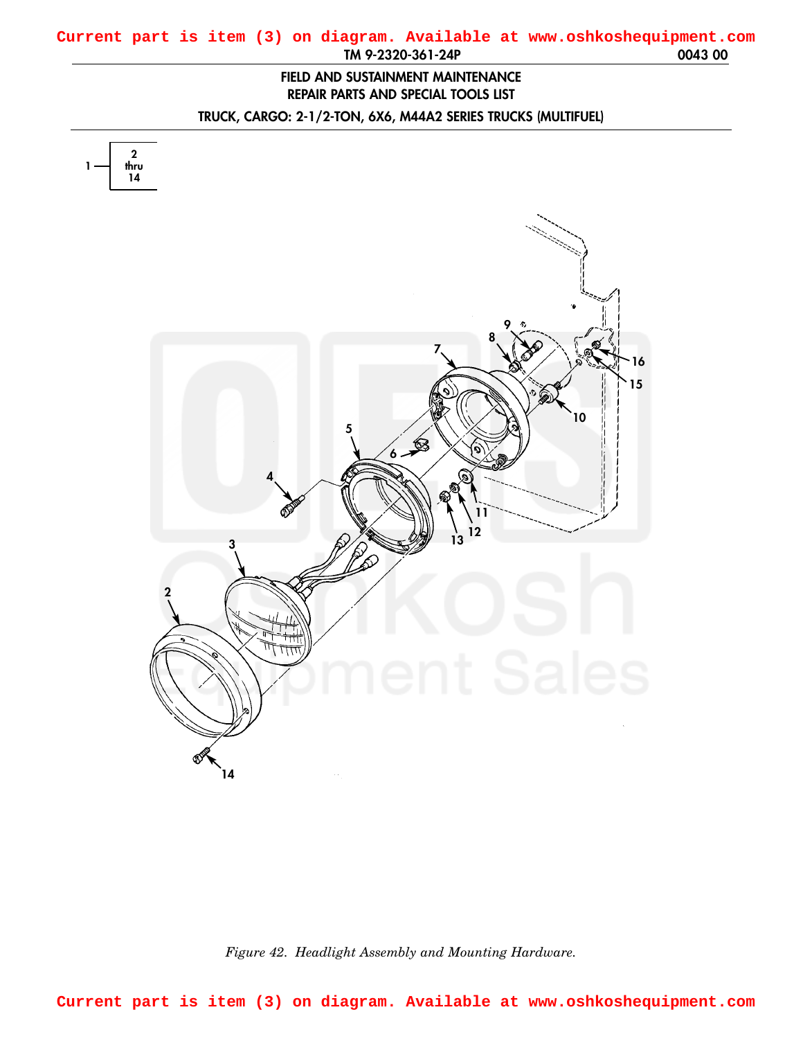## <span id="page-0-0"></span>**TM 9-2320-361-24P 0043 00 Current part is item (3) on diagram. Available at www.oshkoshequipment.com**

## **FIELD AND SUSTAINMENT MAINTENANCE REPAIR PARTS AND SPECIAL TOOLS LIST**

**TRUCK, CARGO: 2-1/2-TON, 6X6, M44A2 SERIES TRUCKS (MULTIFUEL)**



*Figure 42. Headlight Assembly and Mounting Hardware.*

**Current part is item (3) on diagram. Available at www.oshkoshequipment.com**